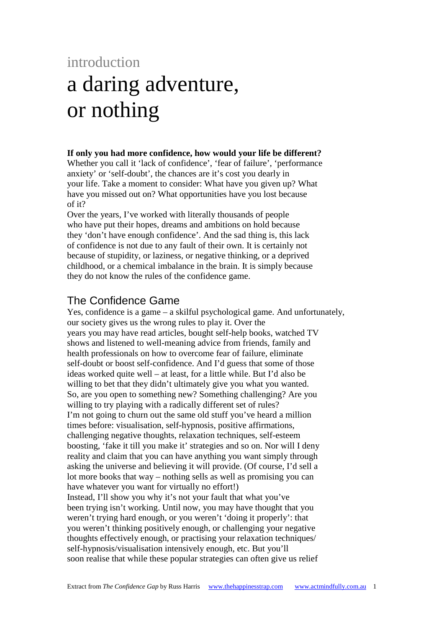# introduction a daring adventure, or nothing

#### **If only you had more confidence, how would your life be different?**

Whether you call it 'lack of confidence', 'fear of failure', 'performance anxiety' or 'self-doubt', the chances are it's cost you dearly in your life. Take a moment to consider: What have you given up? What have you missed out on? What opportunities have you lost because of it?

Over the years, I've worked with literally thousands of people who have put their hopes, dreams and ambitions on hold because they 'don't have enough confidence'. And the sad thing is, this lack of confidence is not due to any fault of their own. It is certainly not because of stupidity, or laziness, or negative thinking, or a deprived childhood, or a chemical imbalance in the brain. It is simply because they do not know the rules of the confidence game.

## The Confidence Game

Yes, confidence is a game – a skilful psychological game. And unfortunately, our society gives us the wrong rules to play it. Over the years you may have read articles, bought self-help books, watched TV shows and listened to well-meaning advice from friends, family and health professionals on how to overcome fear of failure, eliminate self-doubt or boost self-confidence. And I'd guess that some of those ideas worked quite well – at least, for a little while. But I'd also be willing to bet that they didn't ultimately give you what you wanted. So, are you open to something new? Something challenging? Are you willing to try playing with a radically different set of rules? I'm not going to churn out the same old stuff you've heard a million times before: visualisation, self-hypnosis, positive affirmations, challenging negative thoughts, relaxation techniques, self-esteem boosting, 'fake it till you make it' strategies and so on. Nor will I deny reality and claim that you can have anything you want simply through asking the universe and believing it will provide. (Of course, I'd sell a lot more books that way – nothing sells as well as promising you can have whatever you want for virtually no effort!) Instead, I'll show you why it's not your fault that what you've been trying isn't working. Until now, you may have thought that you weren't trying hard enough, or you weren't 'doing it properly': that you weren't thinking positively enough, or challenging your negative thoughts effectively enough, or practising your relaxation techniques/ self-hypnosis/visualisation intensively enough, etc. But you'll soon realise that while these popular strategies can often give us relief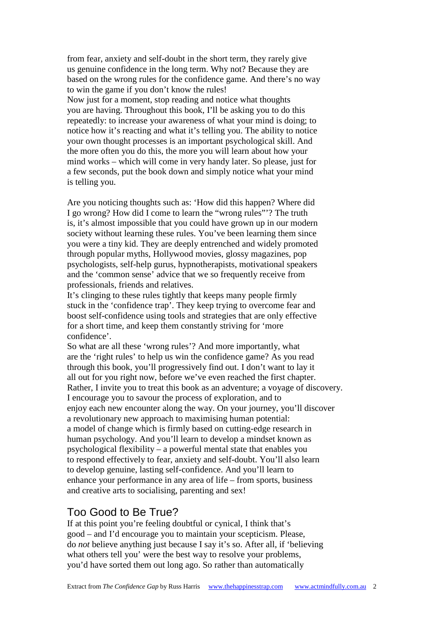from fear, anxiety and self-doubt in the short term, they rarely give us genuine confidence in the long term. Why not? Because they are based on the wrong rules for the confidence game. And there's no way to win the game if you don't know the rules! Now just for a moment, stop reading and notice what thoughts you are having. Throughout this book, I'll be asking you to do this repeatedly: to increase your awareness of what your mind is doing; to notice how it's reacting and what it's telling you. The ability to notice your own thought processes is an important psychological skill. And the more often you do this, the more you will learn about how your mind works – which will come in very handy later. So please, just for a few seconds, put the book down and simply notice what your mind is telling you.

Are you noticing thoughts such as: 'How did this happen? Where did I go wrong? How did I come to learn the "wrong rules"'? The truth is, it's almost impossible that you could have grown up in our modern society without learning these rules. You've been learning them since you were a tiny kid. They are deeply entrenched and widely promoted through popular myths, Hollywood movies, glossy magazines, pop psychologists, self-help gurus, hypnotherapists, motivational speakers and the 'common sense' advice that we so frequently receive from professionals, friends and relatives.

It's clinging to these rules tightly that keeps many people firmly stuck in the 'confidence trap'. They keep trying to overcome fear and boost self-confidence using tools and strategies that are only effective for a short time, and keep them constantly striving for 'more confidence'.

So what are all these 'wrong rules'? And more importantly, what are the 'right rules' to help us win the confidence game? As you read through this book, you'll progressively find out. I don't want to lay it all out for you right now, before we've even reached the first chapter. Rather, I invite you to treat this book as an adventure; a voyage of discovery. I encourage you to savour the process of exploration, and to enjoy each new encounter along the way. On your journey, you'll discover a revolutionary new approach to maximising human potential: a model of change which is firmly based on cutting-edge research in human psychology. And you'll learn to develop a mindset known as psychological flexibility – a powerful mental state that enables you to respond effectively to fear, anxiety and self-doubt. You'll also learn to develop genuine, lasting self-confidence. And you'll learn to enhance your performance in any area of life – from sports, business and creative arts to socialising, parenting and sex!

#### Too Good to Be True?

If at this point you're feeling doubtful or cynical, I think that's good – and I'd encourage you to maintain your scepticism. Please, do *not* believe anything just because I say it's so. After all, if 'believing what others tell you' were the best way to resolve your problems, you'd have sorted them out long ago. So rather than automatically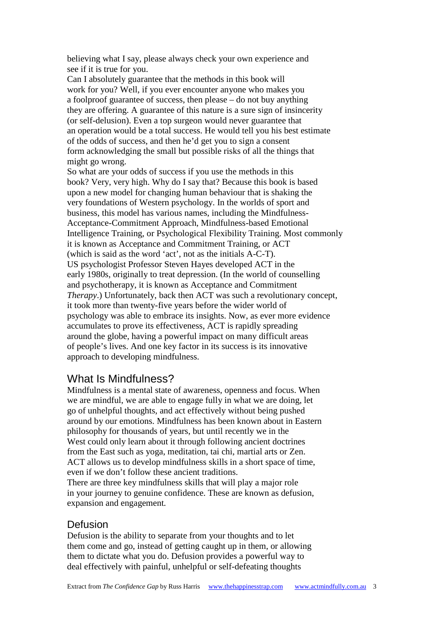believing what I say, please always check your own experience and see if it is true for you.

Can I absolutely guarantee that the methods in this book will work for you? Well, if you ever encounter anyone who makes you a foolproof guarantee of success, then please – do not buy anything they are offering. A guarantee of this nature is a sure sign of insincerity (or self-delusion). Even a top surgeon would never guarantee that an operation would be a total success. He would tell you his best estimate of the odds of success, and then he'd get you to sign a consent form acknowledging the small but possible risks of all the things that might go wrong.

So what are your odds of success if you use the methods in this book? Very, very high. Why do I say that? Because this book is based upon a new model for changing human behaviour that is shaking the very foundations of Western psychology. In the worlds of sport and business, this model has various names, including the Mindfulness-Acceptance-Commitment Approach, Mindfulness-based Emotional Intelligence Training, or Psychological Flexibility Training. Most commonly it is known as Acceptance and Commitment Training, or ACT (which is said as the word 'act', not as the initials A-C-T). US psychologist Professor Steven Hayes developed ACT in the early 1980s, originally to treat depression. (In the world of counselling and psychotherapy, it is known as Acceptance and Commitment *Therapy*.) Unfortunately, back then ACT was such a revolutionary concept, it took more than twenty-five years before the wider world of psychology was able to embrace its insights. Now, as ever more evidence accumulates to prove its effectiveness, ACT is rapidly spreading around the globe, having a powerful impact on many difficult areas of people's lives. And one key factor in its success is its innovative approach to developing mindfulness.

# What Is Mindfulness?

Mindfulness is a mental state of awareness, openness and focus. When we are mindful, we are able to engage fully in what we are doing, let go of unhelpful thoughts, and act effectively without being pushed around by our emotions. Mindfulness has been known about in Eastern philosophy for thousands of years, but until recently we in the West could only learn about it through following ancient doctrines from the East such as yoga, meditation, tai chi, martial arts or Zen. ACT allows us to develop mindfulness skills in a short space of time, even if we don't follow these ancient traditions. There are three key mindfulness skills that will play a major role in your journey to genuine confidence. These are known as defusion, expansion and engagement*.*

## Defusion

Defusion is the ability to separate from your thoughts and to let them come and go, instead of getting caught up in them, or allowing them to dictate what you do. Defusion provides a powerful way to deal effectively with painful, unhelpful or self-defeating thoughts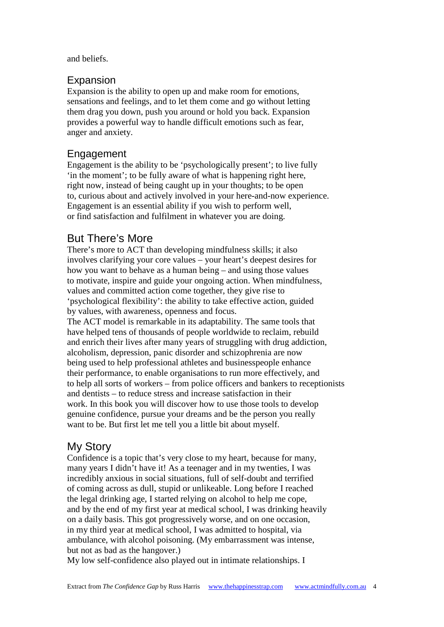and beliefs.

#### Expansion

Expansion is the ability to open up and make room for emotions, sensations and feelings, and to let them come and go without letting them drag you down, push you around or hold you back. Expansion provides a powerful way to handle difficult emotions such as fear, anger and anxiety.

#### Engagement

Engagement is the ability to be 'psychologically present'; to live fully 'in the moment'; to be fully aware of what is happening right here, right now, instead of being caught up in your thoughts; to be open to, curious about and actively involved in your here-and-now experience. Engagement is an essential ability if you wish to perform well, or find satisfaction and fulfilment in whatever you are doing.

# But There's More

There's more to ACT than developing mindfulness skills; it also involves clarifying your core values – your heart's deepest desires for how you want to behave as a human being – and using those values to motivate, inspire and guide your ongoing action. When mindfulness, values and committed action come together, they give rise to 'psychological flexibility': the ability to take effective action, guided by values, with awareness, openness and focus. The ACT model is remarkable in its adaptability. The same tools that have helped tens of thousands of people worldwide to reclaim, rebuild and enrich their lives after many years of struggling with drug addiction, alcoholism, depression, panic disorder and schizophrenia are now being used to help professional athletes and businesspeople enhance their performance, to enable organisations to run more effectively, and to help all sorts of workers – from police officers and bankers to receptionists and dentists – to reduce stress and increase satisfaction in their work. In this book you will discover how to use those tools to develop genuine confidence, pursue your dreams and be the person you really want to be. But first let me tell you a little bit about myself.

# My Story

Confidence is a topic that's very close to my heart, because for many, many years I didn't have it! As a teenager and in my twenties, I was incredibly anxious in social situations, full of self-doubt and terrified of coming across as dull, stupid or unlikeable. Long before I reached the legal drinking age, I started relying on alcohol to help me cope, and by the end of my first year at medical school, I was drinking heavily on a daily basis. This got progressively worse, and on one occasion, in my third year at medical school, I was admitted to hospital, via ambulance, with alcohol poisoning. (My embarrassment was intense, but not as bad as the hangover.)

My low self-confidence also played out in intimate relationships. I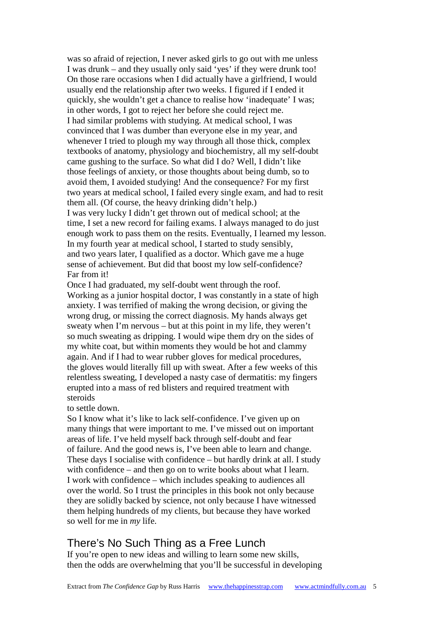was so afraid of rejection, I never asked girls to go out with me unless I was drunk – and they usually only said 'yes' if they were drunk too! On those rare occasions when I did actually have a girlfriend, I would usually end the relationship after two weeks. I figured if I ended it quickly, she wouldn't get a chance to realise how 'inadequate' I was; in other words, I got to reject her before she could reject me. I had similar problems with studying. At medical school, I was convinced that I was dumber than everyone else in my year, and whenever I tried to plough my way through all those thick, complex textbooks of anatomy, physiology and biochemistry, all my self-doubt came gushing to the surface. So what did I do? Well, I didn't like those feelings of anxiety, or those thoughts about being dumb, so to avoid them, I avoided studying! And the consequence? For my first two years at medical school, I failed every single exam, and had to resit them all. (Of course, the heavy drinking didn't help.) I was very lucky I didn't get thrown out of medical school; at the time, I set a new record for failing exams. I always managed to do just enough work to pass them on the resits. Eventually, I learned my lesson. In my fourth year at medical school, I started to study sensibly, and two years later, I qualified as a doctor. Which gave me a huge sense of achievement. But did that boost my low self-confidence? Far from it!

Once I had graduated, my self-doubt went through the roof. Working as a junior hospital doctor, I was constantly in a state of high anxiety. I was terrified of making the wrong decision, or giving the wrong drug, or missing the correct diagnosis. My hands always get sweaty when I'm nervous – but at this point in my life, they weren't so much sweating as dripping. I would wipe them dry on the sides of my white coat, but within moments they would be hot and clammy again. And if I had to wear rubber gloves for medical procedures, the gloves would literally fill up with sweat. After a few weeks of this relentless sweating, I developed a nasty case of dermatitis: my fingers erupted into a mass of red blisters and required treatment with steroids

to settle down.

So I know what it's like to lack self-confidence. I've given up on many things that were important to me. I've missed out on important areas of life. I've held myself back through self-doubt and fear of failure. And the good news is, I've been able to learn and change. These days I socialise with confidence – but hardly drink at all. I study with confidence – and then go on to write books about what I learn. I work with confidence – which includes speaking to audiences all over the world. So I trust the principles in this book not only because they are solidly backed by science, not only because I have witnessed them helping hundreds of my clients, but because they have worked so well for me in *my* life.

## There's No Such Thing as a Free Lunch

If you're open to new ideas and willing to learn some new skills, then the odds are overwhelming that you'll be successful in developing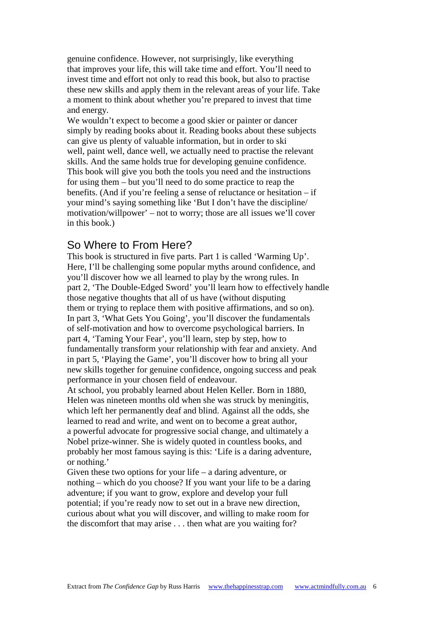genuine confidence. However, not surprisingly, like everything that improves your life, this will take time and effort. You'll need to invest time and effort not only to read this book, but also to practise these new skills and apply them in the relevant areas of your life. Take a moment to think about whether you're prepared to invest that time and energy.

We wouldn't expect to become a good skier or painter or dancer simply by reading books about it. Reading books about these subjects can give us plenty of valuable information, but in order to ski well, paint well, dance well, we actually need to practise the relevant skills. And the same holds true for developing genuine confidence. This book will give you both the tools you need and the instructions for using them – but you'll need to do some practice to reap the benefits. (And if you're feeling a sense of reluctance or hesitation – if your mind's saying something like 'But I don't have the discipline/ motivation/willpower' – not to worry; those are all issues we'll cover in this book.)

#### So Where to From Here?

This book is structured in five parts. Part 1 is called 'Warming Up'. Here, I'll be challenging some popular myths around confidence, and you'll discover how we all learned to play by the wrong rules. In part 2, 'The Double-Edged Sword' you'll learn how to effectively handle those negative thoughts that all of us have (without disputing them or trying to replace them with positive affirmations, and so on). In part 3, 'What Gets You Going', you'll discover the fundamentals of self-motivation and how to overcome psychological barriers. In part 4, 'Taming Your Fear', you'll learn, step by step, how to fundamentally transform your relationship with fear and anxiety. And in part 5, 'Playing the Game', you'll discover how to bring all your new skills together for genuine confidence, ongoing success and peak performance in your chosen field of endeavour.

At school, you probably learned about Helen Keller. Born in 1880, Helen was nineteen months old when she was struck by meningitis, which left her permanently deaf and blind. Against all the odds, she learned to read and write, and went on to become a great author, a powerful advocate for progressive social change, and ultimately a Nobel prize-winner. She is widely quoted in countless books, and probably her most famous saying is this: 'Life is a daring adventure, or nothing.'

Given these two options for your life – a daring adventure, or nothing – which do you choose? If you want your life to be a daring adventure; if you want to grow, explore and develop your full potential; if you're ready now to set out in a brave new direction, curious about what you will discover, and willing to make room for the discomfort that may arise . . . then what are you waiting for?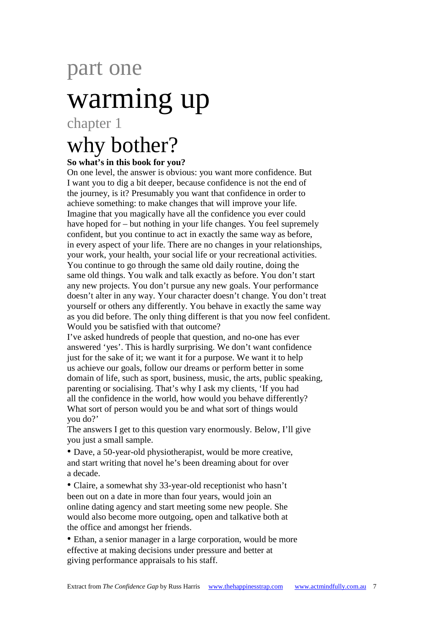# part one warming up chapter 1

# why bother?

#### **So what's in this book for you?**

On one level, the answer is obvious: you want more confidence. But I want you to dig a bit deeper, because confidence is not the end of the journey, is it? Presumably you want that confidence in order to achieve something: to make changes that will improve your life. Imagine that you magically have all the confidence you ever could have hoped for – but nothing in your life changes. You feel supremely confident, but you continue to act in exactly the same way as before, in every aspect of your life. There are no changes in your relationships, your work, your health, your social life or your recreational activities. You continue to go through the same old daily routine, doing the same old things. You walk and talk exactly as before. You don't start any new projects. You don't pursue any new goals. Your performance doesn't alter in any way. Your character doesn't change. You don't treat yourself or others any differently. You behave in exactly the same way as you did before. The only thing different is that you now feel confident. Would you be satisfied with that outcome?

I've asked hundreds of people that question, and no-one has ever answered 'yes'. This is hardly surprising. We don't want confidence just for the sake of it; we want it for a purpose. We want it to help us achieve our goals, follow our dreams or perform better in some domain of life, such as sport, business, music, the arts, public speaking, parenting or socialising. That's why I ask my clients, 'If you had all the confidence in the world, how would you behave differently? What sort of person would you be and what sort of things would you do?'

The answers I get to this question vary enormously. Below, I'll give you just a small sample.

• Dave, a 50-year-old physiotherapist, would be more creative, and start writing that novel he's been dreaming about for over a decade.

• Claire, a somewhat shy 33-year-old receptionist who hasn't been out on a date in more than four years, would join an online dating agency and start meeting some new people. She would also become more outgoing, open and talkative both at the office and amongst her friends.

• Ethan, a senior manager in a large corporation, would be more effective at making decisions under pressure and better at giving performance appraisals to his staff.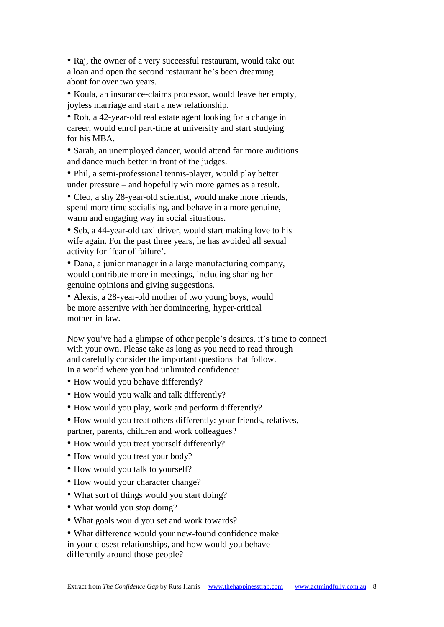• Raj, the owner of a very successful restaurant, would take out a loan and open the second restaurant he's been dreaming about for over two years.

• Koula, an insurance-claims processor, would leave her empty, joyless marriage and start a new relationship.

• Rob, a 42-year-old real estate agent looking for a change in career, would enrol part-time at university and start studying for his MBA.

• Sarah, an unemployed dancer, would attend far more auditions and dance much better in front of the judges.

• Phil, a semi-professional tennis-player, would play better under pressure – and hopefully win more games as a result.

• Cleo, a shy 28-year-old scientist, would make more friends, spend more time socialising, and behave in a more genuine, warm and engaging way in social situations.

• Seb, a 44-year-old taxi driver, would start making love to his wife again. For the past three years, he has avoided all sexual activity for 'fear of failure'.

• Dana, a junior manager in a large manufacturing company, would contribute more in meetings, including sharing her genuine opinions and giving suggestions.

• Alexis, a 28-year-old mother of two young boys, would be more assertive with her domineering, hyper-critical mother-in-law.

Now you've had a glimpse of other people's desires, it's time to connect with your own. Please take as long as you need to read through and carefully consider the important questions that follow. In a world where you had unlimited confidence:

- How would you behave differently?
- How would you walk and talk differently?
- How would you play, work and perform differently?
- How would you treat others differently: your friends, relatives,

partner, parents, children and work colleagues?

- How would you treat yourself differently?
- How would you treat your body?
- How would you talk to yourself?
- How would your character change?
- What sort of things would you start doing?
- What would you *stop* doing?
- What goals would you set and work towards?
- What difference would your new-found confidence make in your closest relationships, and how would you behave differently around those people?